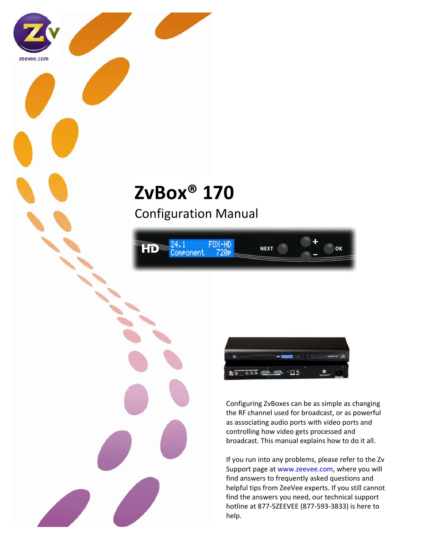

# Configuration Manual





zeevee.com



Configuring ZvBoxes can be as simple as changing the RF channel used for broadcast, or as powerful as associating audio ports with video ports and controlling how video gets processed and broadcast. This manual explains how to do it all.

ΩK

If you run into any problems, please refer to the Zv Support page at www.zeevee.com, where you will find answers to frequently asked questions and helpful tips from ZeeVee experts. If you still cannot find the answers you need, our technical support hotline at 877‐5ZEEVEE (877‐593‐3833) is here to help.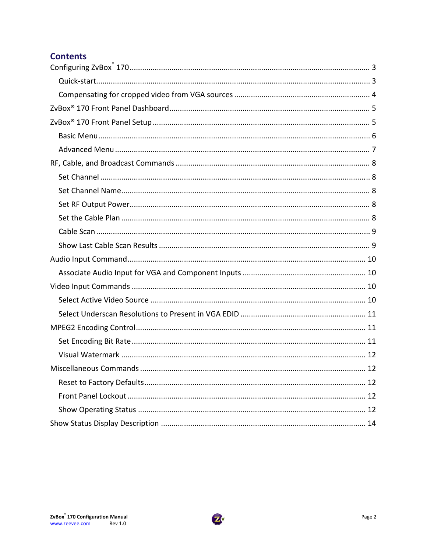# **Contents**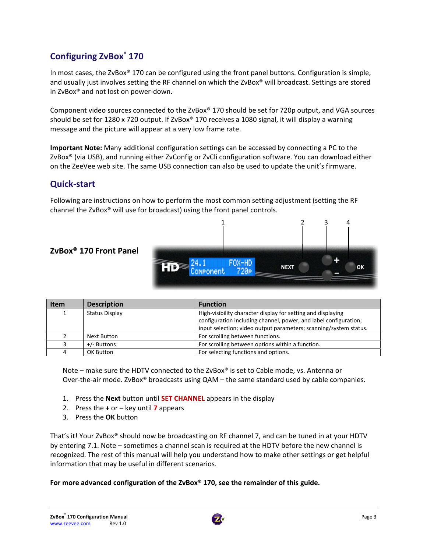# **Configuring ZvBox® 170**

In most cases, the ZvBox® 170 can be configured using the front panel buttons. Configuration is simple, and usually just involves setting the RF channel on which the ZvBox® will broadcast. Settings are stored in ZvBox® and not lost on power‐down.

Component video sources connected to the ZvBox® 170 should be set for 720p output, and VGA sources should be set for 1280 x 720 output. If ZvBox® 170 receives a 1080 signal, it will display a warning message and the picture will appear at a very low frame rate.

**Important Note:** Many additional configuration settings can be accessed by connecting a PC to the ZvBox® (via USB), and running either ZvConfig or ZvCli configuration software. You can download either on the ZeeVee web site. The same USB connection can also be used to update the unit's firmware.

## **Quick‐start**

Following are instructions on how to perform the most common setting adjustment (setting the RF channel the ZvBox® will use for broadcast) using the front panel controls.



| l Item | <b>Description</b> | <b>Function</b>                                                   |
|--------|--------------------|-------------------------------------------------------------------|
|        | Status Display     | High-visibility character display for setting and displaying      |
|        |                    | configuration including channel, power, and label configuration;  |
|        |                    | input selection; video output parameters; scanning/system status. |
|        | Next Button        | For scrolling between functions.                                  |
|        | +/- Buttons        | For scrolling between options within a function.                  |
|        | OK Button          | For selecting functions and options.                              |

Note – make sure the HDTV connected to the ZvBox® is set to Cable mode, vs. Antenna or Over-the-air mode. ZvBox® broadcasts using QAM – the same standard used by cable companies.

- 1. Press the **Next** button until **SET CHANNEL** appears in the display
- 2. Press the **+** or **–** key until **7** appears
- 3. Press the **OK** button

That's it! Your ZvBox® should now be broadcasting on RF channel 7, and can be tuned in at your HDTV by entering 7.1. Note – sometimes a channel scan is required at the HDTV before the new channel is recognized. The rest of this manual will help you understand how to make other settings or get helpful information that may be useful in different scenarios.

**For more advanced configuration of the ZvBox® 170, see the remainder of this guide.**

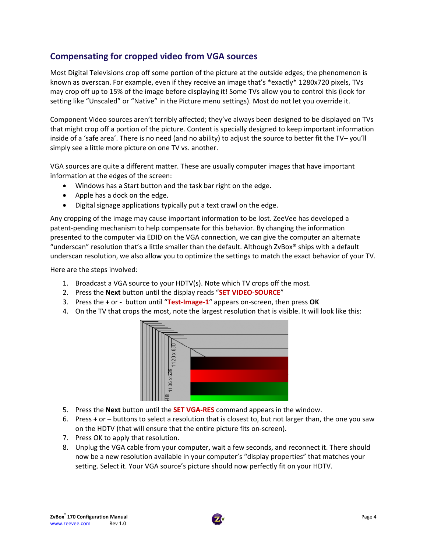# **Compensating for cropped video from VGA sources**

Most Digital Televisions crop off some portion of the picture at the outside edges; the phenomenon is known as overscan. For example, even if they receive an image that's \*exactly\* 1280x720 pixels, TVs may crop off up to 15% of the image before displaying it! Some TVs allow you to control this (look for setting like "Unscaled" or "Native" in the Picture menu settings). Most do not let you override it.

Component Video sources aren't terribly affected; they've always been designed to be displayed on TVs that might crop off a portion of the picture. Content is specially designed to keep important information inside of a 'safe area'. There is no need (and no ability) to adjust the source to better fit the TV– you'll simply see a little more picture on one TV vs. another.

VGA sources are quite a different matter. These are usually computer images that have important information at the edges of the screen:

- Windows has a Start button and the task bar right on the edge.
- Apple has a dock on the edge.
- Digital signage applications typically put a text crawl on the edge.

Any cropping of the image may cause important information to be lost. ZeeVee has developed a patent-pending mechanism to help compensate for this behavior. By changing the information presented to the computer via EDID on the VGA connection, we can give the computer an alternate "underscan" resolution that's a little smaller than the default. Although ZvBox® ships with a default underscan resolution, we also allow you to optimize the settings to match the exact behavior of your TV.

Here are the steps involved:

- 1. Broadcast a VGA source to your HDTV(s). Note which TV crops off the most.
- 2. Press the **Next** button until the display reads "**SET VIDEO‐SOURCE**"
- 3. Press the **+** or **‐**  button until "**Test‐Image‐1**" appears on‐screen, then press **OK**
- 4. On the TV that crops the most, note the largest resolution that is visible. It will look like this:



- 5. Press the **Next** button until the **SET VGA‐RES** command appears in the window.
- 6. Press **+** or **–** buttons to select a resolution that is closest to, but not larger than, the one you saw on the HDTV (that will ensure that the entire picture fits on‐screen).
- 7. Press OK to apply that resolution.
- 8. Unplug the VGA cable from your computer, wait a few seconds, and reconnect it. There should now be a new resolution available in your computer's "display properties" that matches your setting. Select it. Your VGA source's picture should now perfectly fit on your HDTV.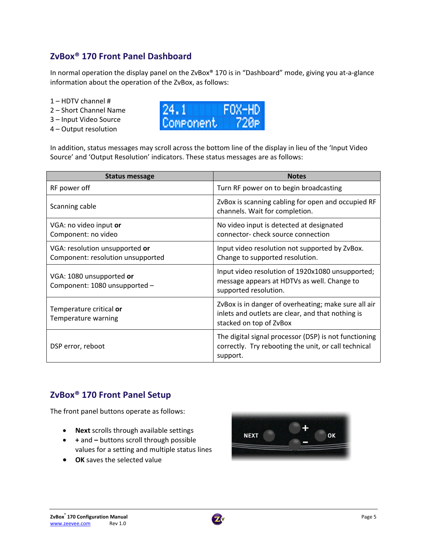# **ZvBox® 170 Front Panel Dashboard**

In normal operation the display panel on the ZvBox® 170 is in "Dashboard" mode, giving you at-a-glance information about the operation of the ZvBox, as follows:

- 1 HDTV channel #
- 2 Short Channel Name
- 3 Input Video Source
- 4 Output resolution



In addition, status messages may scroll across the bottom line of the display in lieu of the 'Input Video Source' and 'Output Resolution' indicators. These status messages are as follows:

| Status message                                                      | <b>Notes</b>                                                                                                                         |
|---------------------------------------------------------------------|--------------------------------------------------------------------------------------------------------------------------------------|
| RF power off                                                        | Turn RF power on to begin broadcasting                                                                                               |
| Scanning cable                                                      | ZvBox is scanning cabling for open and occupied RF<br>channels. Wait for completion.                                                 |
| VGA: no video input or<br>Component: no video                       | No video input is detected at designated<br>connector-check source connection                                                        |
| VGA: resolution unsupported or<br>Component: resolution unsupported | Input video resolution not supported by ZvBox.<br>Change to supported resolution.                                                    |
| VGA: 1080 unsupported or<br>Component: 1080 unsupported -           | Input video resolution of 1920x1080 unsupported;<br>message appears at HDTVs as well. Change to<br>supported resolution.             |
| Temperature critical or<br>Temperature warning                      | ZvBox is in danger of overheating; make sure all air<br>inlets and outlets are clear, and that nothing is<br>stacked on top of ZvBox |
| DSP error, reboot                                                   | The digital signal processor (DSP) is not functioning<br>correctly. Try rebooting the unit, or call technical<br>support.            |

# **ZvBox® 170 Front Panel Setup**

The front panel buttons operate as follows:

- **Next** scrolls through available settings
- **+** and **–** buttons scroll through possible values for a setting and multiple status lines
- **OK** saves the selected value



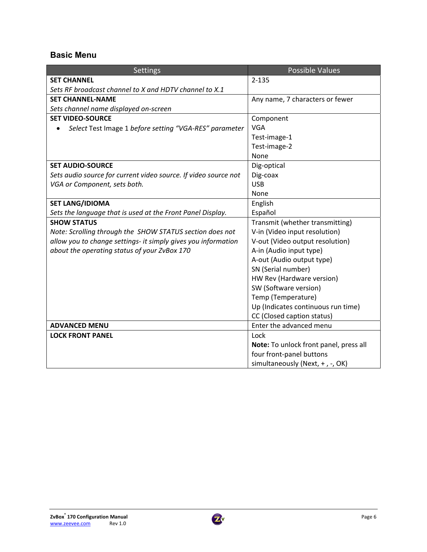## **Basic Menu**

| Settings                                                        | <b>Possible Values</b>                 |
|-----------------------------------------------------------------|----------------------------------------|
| <b>SET CHANNEL</b>                                              | $2 - 135$                              |
| Sets RF broadcast channel to X and HDTV channel to X.1          |                                        |
| <b>SET CHANNEL-NAME</b>                                         | Any name, 7 characters or fewer        |
| Sets channel name displayed on-screen                           |                                        |
| <b>SET VIDEO-SOURCE</b>                                         | Component                              |
| Select Test Image 1 before setting "VGA-RES" parameter          | <b>VGA</b>                             |
|                                                                 | Test-image-1                           |
|                                                                 | Test-image-2                           |
|                                                                 | None                                   |
| <b>SET AUDIO-SOURCE</b>                                         | Dig-optical                            |
| Sets audio source for current video source. If video source not | Dig-coax                               |
| VGA or Component, sets both.                                    | <b>USB</b>                             |
|                                                                 | None                                   |
| <b>SET LANG/IDIOMA</b>                                          | English                                |
| Sets the language that is used at the Front Panel Display.      | Español                                |
| <b>SHOW STATUS</b>                                              | Transmit (whether transmitting)        |
| Note: Scrolling through the SHOW STATUS section does not        | V-in (Video input resolution)          |
| allow you to change settings- it simply gives you information   | V-out (Video output resolution)        |
| about the operating status of your ZvBox 170                    | A-in (Audio input type)                |
|                                                                 | A-out (Audio output type)              |
|                                                                 | SN (Serial number)                     |
|                                                                 | HW Rev (Hardware version)              |
|                                                                 | SW (Software version)                  |
|                                                                 | Temp (Temperature)                     |
|                                                                 | Up (Indicates continuous run time)     |
|                                                                 | CC (Closed caption status)             |
| <b>ADVANCED MENU</b>                                            | Enter the advanced menu                |
| <b>LOCK FRONT PANEL</b>                                         | Lock                                   |
|                                                                 | Note: To unlock front panel, press all |
|                                                                 | four front-panel buttons               |
|                                                                 | simultaneously (Next, +, -, OK)        |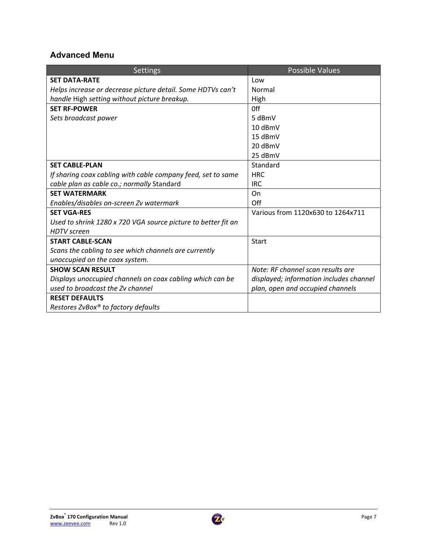## **Advanced Menu**

| <b>Settings</b>                                               | <b>Possible Values</b>                  |
|---------------------------------------------------------------|-----------------------------------------|
| <b>SET DATA-RATE</b>                                          | Low                                     |
| Helps increase or decrease picture detail. Some HDTVs can't   | Normal                                  |
| handle High setting without picture breakup.                  | High                                    |
| <b>SET RF-POWER</b>                                           | 0ff                                     |
| Sets broadcast power                                          | 5 dBmV                                  |
|                                                               | 10 dBmV                                 |
|                                                               | 15 dBmV                                 |
|                                                               | 20 dBmV                                 |
|                                                               | 25 dBmV                                 |
| <b>SET CABLE-PLAN</b>                                         | Standard                                |
| If sharing coax cabling with cable company feed, set to same  | <b>HRC</b>                              |
| cable plan as cable co.; normally Standard                    | <b>IRC</b>                              |
| <b>SET WATERMARK</b>                                          | On                                      |
| Enables/disables on-screen Zv watermark                       | Off                                     |
| <b>SET VGA-RES</b>                                            | Various from 1120x630 to 1264x711       |
| Used to shrink 1280 x 720 VGA source picture to better fit an |                                         |
| <b>HDTV</b> screen                                            |                                         |
| <b>START CABLE-SCAN</b>                                       | <b>Start</b>                            |
| Scans the cabling to see which channels are currently         |                                         |
| unoccupied on the coax system.                                |                                         |
| <b>SHOW SCAN RESULT</b>                                       | Note: RF channel scan results are       |
| Displays unoccupied channels on coax cabling which can be     | displayed; information includes channel |
| used to broadcast the Zv channel                              | plan, open and occupied channels        |
| <b>RESET DEFAULTS</b>                                         |                                         |
| Restores ZvBox® to factory defaults                           |                                         |

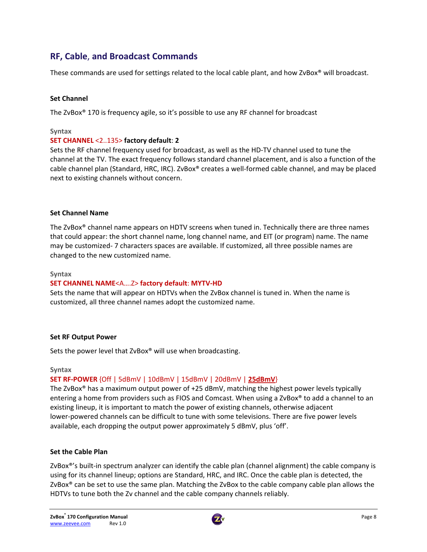# **RF, Cable**, **and Broadcast Commands**

These commands are used for settings related to the local cable plant, and how ZvBox® will broadcast.

### **Set Channel**

The ZvBox® 170 is frequency agile, so it's possible to use any RF channel for broadcast

#### **Syntax**

#### **SET CHANNEL** <2..135> **factory default**: **2**

Sets the RF channel frequency used for broadcast, as well as the HD‐TV channel used to tune the channel at the TV. The exact frequency follows standard channel placement, and is also a function of the cable channel plan (Standard, HRC, IRC). ZvBox® creates a well‐formed cable channel, and may be placed next to existing channels without concern.

#### **Set Channel Name**

The ZvBox® channel name appears on HDTV screens when tuned in. Technically there are three names that could appear: the short channel name, long channel name, and EIT (or program) name. The name may be customized‐ 7 characters spaces are available. If customized, all three possible names are changed to the new customized name.

#### **Syntax**

#### **SET CHANNEL NAME**<A….Z> **factory default**: **MYTV‐HD**

Sets the name that will appear on HDTVs when the ZvBox channel is tuned in. When the name is customized, all three channel names adopt the customized name.

#### **Set RF Output Power**

Sets the power level that ZvBox® will use when broadcasting.

#### **Syntax**

### **SET RF‐POWER** {Off | 5dBmV | 10dBmV | 15dBmV | 20dBmV | **25dBmV**}

The ZvBox® has a maximum output power of +25 dBmV, matching the highest power levels typically entering a home from providers such as FIOS and Comcast. When using a ZvBox® to add a channel to an existing lineup, it is important to match the power of existing channels, otherwise adjacent lower‐powered channels can be difficult to tune with some televisions. There are five power levels available, each dropping the output power approximately 5 dBmV, plus 'off'.

#### **Set the Cable Plan**

ZvBox<sup>®'</sup>s built-in spectrum analyzer can identify the cable plan (channel alignment) the cable company is using for its channel lineup; options are Standard, HRC, and IRC. Once the cable plan is detected, the ZvBox® can be set to use the same plan. Matching the ZvBox to the cable company cable plan allows the HDTVs to tune both the Zv channel and the cable company channels reliably.

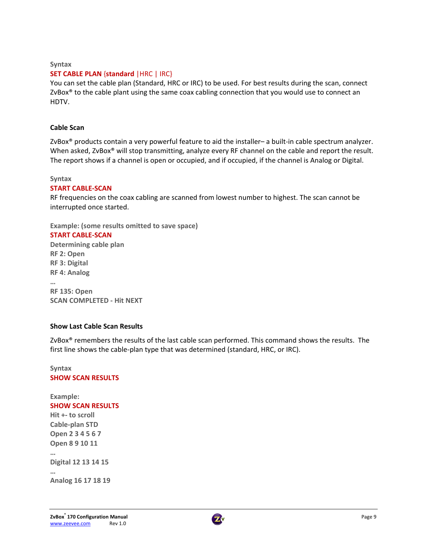#### **Syntax**

#### **SET CABLE PLAN** {**standard** |HRC | IRC}

You can set the cable plan (Standard, HRC or IRC) to be used. For best results during the scan, connect ZvBox<sup>®</sup> to the cable plant using the same coax cabling connection that you would use to connect an HDTV.

#### **Cable Scan**

ZvBox® products contain a very powerful feature to aid the installer– a built‐in cable spectrum analyzer. When asked, ZvBox<sup>®</sup> will stop transmitting, analyze every RF channel on the cable and report the result. The report shows if a channel is open or occupied, and if occupied, if the channel is Analog or Digital.

#### **Syntax**

#### **START CABLE‐SCAN**

RF frequencies on the coax cabling are scanned from lowest number to highest. The scan cannot be interrupted once started.

**Example: (some results omitted to save space)**

#### **START CABLE‐SCAN**

**Determining cable plan RF 2: Open RF 3: Digital RF 4: Analog … RF 135: Open SCAN COMPLETED ‐ Hit NEXT**

#### **Show Last Cable Scan Results**

ZvBox<sup>®</sup> remembers the results of the last cable scan performed. This command shows the results. The first line shows the cable‐plan type that was determined (standard, HRC, or IRC).

#### **Syntax SHOW SCAN RESULTS**

**Example: SHOW SCAN RESULTS Hit +‐ to scroll Cable‐plan STD Open 2 3 4 5 6 7 Open 8 9 10 11 … Digital 12 13 14 15 … Analog 16 17 18 19**

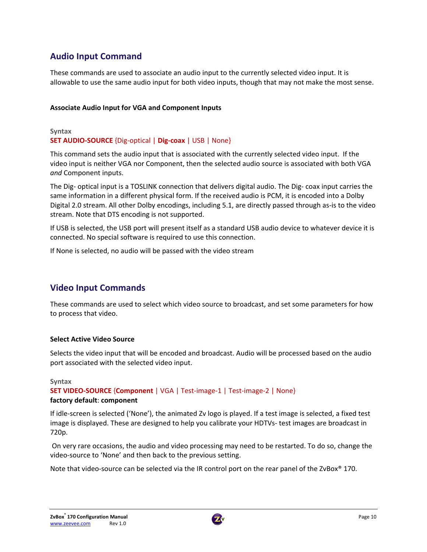# **Audio Input Command**

These commands are used to associate an audio input to the currently selected video input. It is allowable to use the same audio input for both video inputs, though that may not make the most sense.

### **Associate Audio Input for VGA and Component Inputs**

### **Syntax SET AUDIO‐SOURCE** {Dig‐optical | **Dig‐coax** | USB | None}

This command sets the audio input that is associated with the currently selected video input. If the video input is neither VGA nor Component, then the selected audio source is associated with both VGA *and* Component inputs.

The Dig‐ optical input is a TOSLINK connection that delivers digital audio. The Dig‐ coax input carries the same information in a different physical form. If the received audio is PCM, it is encoded into a Dolby Digital 2.0 stream. All other Dolby encodings, including 5.1, are directly passed through as‐is to the video stream. Note that DTS encoding is not supported.

If USB is selected, the USB port will present itself as a standard USB audio device to whatever device it is connected. No special software is required to use this connection.

If None is selected, no audio will be passed with the video stream

# **Video Input Commands**

These commands are used to select which video source to broadcast, and set some parameters for how to process that video.

### **Select Active Video Source**

Selects the video input that will be encoded and broadcast. Audio will be processed based on the audio port associated with the selected video input.

#### **Syntax**

**SET VIDEO‐SOURCE** {**Component** | VGA | Test‐image‐1 | Test‐image‐2 | None} **factory default**: **component**

If idle‐screen is selected ('None'), the animated Zv logo is played. If a test image is selected, a fixed test image is displayed. These are designed to help you calibrate your HDTVs‐ test images are broadcast in 720p.

On very rare occasions, the audio and video processing may need to be restarted. To do so, change the video‐source to 'None' and then back to the previous setting.

Note that video-source can be selected via the IR control port on the rear panel of the ZvBox<sup>®</sup> 170.

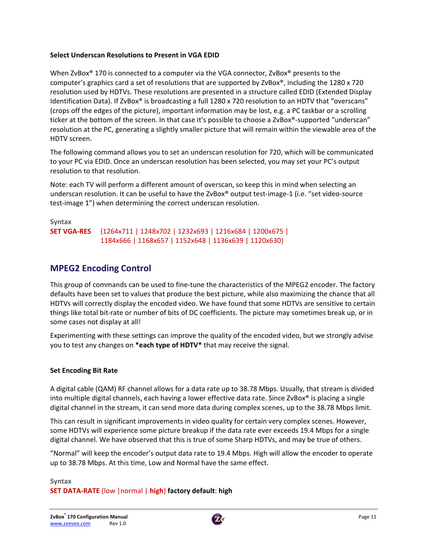### **Select Underscan Resolutions to Present in VGA EDID**

When ZvBox<sup>®</sup> 170 is connected to a computer via the VGA connector, ZvBox<sup>®</sup> presents to the computer's graphics card a set of resolutions that are supported by ZvBox®, including the 1280 x 720 resolution used by HDTVs. These resolutions are presented in a structure called EDID (Extended Display Identification Data). If ZvBox® is broadcasting a full 1280 x 720 resolution to an HDTV that "overscans" (crops off the edges of the picture), important information may be lost, e.g. a PC taskbar or a scrolling ticker at the bottom of the screen. In that case it's possible to choose a ZvBox®‐supported "underscan" resolution at the PC, generating a slightly smaller picture that will remain within the viewable area of the HDTV screen.

The following command allows you to set an underscan resolution for 720, which will be communicated to your PC via EDID. Once an underscan resolution has been selected, you may set your PC's output resolution to that resolution.

Note: each TV will perform a different amount of overscan, so keep this in mind when selecting an underscan resolution. It can be useful to have the ZvBox<sup>®</sup> output test-image-1 (i.e. "set video-source test-image 1") when determining the correct underscan resolution.

**Syntax SET VGA‐RES** {1264x711 | 1248x702 | 1232x693 | 1216x684 | 1200x675 | 1184x666 | 1168x657 | 1152x648 | 1136x639 | 1120x630}

## **MPEG2 Encoding Control**

This group of commands can be used to fine-tune the characteristics of the MPEG2 encoder. The factory defaults have been set to values that produce the best picture, while also maximizing the chance that all HDTVs will correctly display the encoded video. We have found that some HDTVs are sensitive to certain things like total bit‐rate or number of bits of DC coefficients. The picture may sometimes break up, or in some cases not display at all!

Experimenting with these settings can improve the quality of the encoded video, but we strongly advise you to test any changes on **\*each type of HDTV\*** that may receive the signal.

### **Set Encoding Bit Rate**

A digital cable (QAM) RF channel allows for a data rate up to 38.78 Mbps. Usually, that stream is divided into multiple digital channels, each having a lower effective data rate. Since ZvBox® is placing a single digital channel in the stream, it can send more data during complex scenes, up to the 38.78 Mbps limit.

This can result in significant improvements in video quality for certain very complex scenes. However, some HDTVs will experience some picture breakup if the data rate ever exceeds 19.4 Mbps for a single digital channel. We have observed that this is true of some Sharp HDTVs, and may be true of others.

"Normal" will keep the encoder's output data rate to 19.4 Mbps. High will allow the encoder to operate up to 38.78 Mbps. At this time, Low and Normal have the same effect.

**Syntax SET DATA‐RATE** {low |normal | **high**} **factory default**: **high**

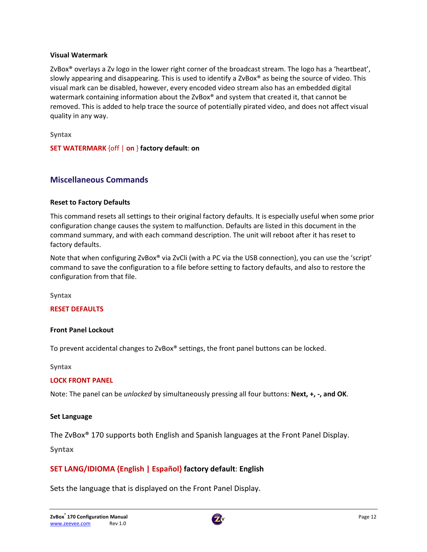#### **Visual Watermark**

ZvBox® overlays a Zv logo in the lower right corner of the broadcast stream. The logo has a 'heartbeat', slowly appearing and disappearing. This is used to identify a ZvBox® as being the source of video. This visual mark can be disabled, however, every encoded video stream also has an embedded digital watermark containing information about the ZvBox<sup>®</sup> and system that created it, that cannot be removed. This is added to help trace the source of potentially pirated video, and does not affect visual quality in any way.

**Syntax**

**SET WATERMARK** {off | **on** } **factory default**: **on**

### **Miscellaneous Commands**

#### **Reset to Factory Defaults**

This command resets all settings to their original factory defaults. It is especially useful when some prior configuration change causes the system to malfunction. Defaults are listed in this document in the command summary, and with each command description. The unit will reboot after it has reset to factory defaults.

Note that when configuring ZvBox® via ZvCli (with a PC via the USB connection), you can use the 'script' command to save the configuration to a file before setting to factory defaults, and also to restore the configuration from that file.

**Syntax**

#### **RESET DEFAULTS**

#### **Front Panel Lockout**

To prevent accidental changes to ZvBox® settings, the front panel buttons can be locked.

**Syntax**

#### **LOCK FRONT PANEL**

Note: The panel can be *unlocked* by simultaneously pressing all four buttons: **Next, +, ‐, and OK**.

#### **Set Language**

The ZvBox® 170 supports both English and Spanish languages at the Front Panel Display.

**Syntax**

### **SET LANG/IDIOMA {English | Español} factory default**: **English**

Sets the language that is displayed on the Front Panel Display.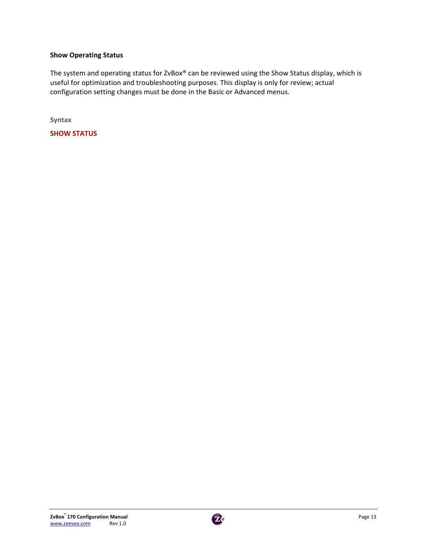### **Show Operating Status**

The system and operating status for ZvBox® can be reviewed using the Show Status display, which is useful for optimization and troubleshooting purposes. This display is only for review; actual configuration setting changes must be done in the Basic or Advanced menus.

**Syntax**

**SHOW STATUS**

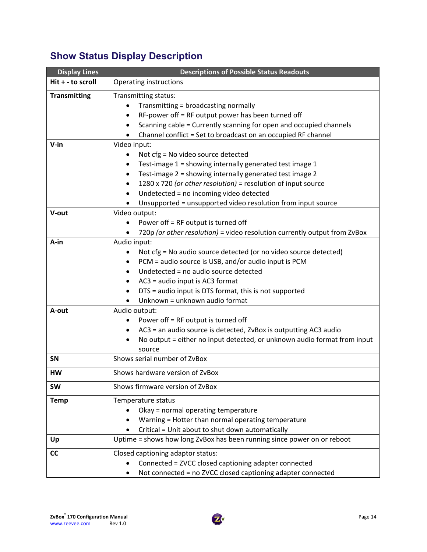# **Show Status Display Description**

| <b>Display Lines</b> | <b>Descriptions of Possible Status Readouts</b>                                                                                                                                                                                                                                                                                                                                                                 |  |  |
|----------------------|-----------------------------------------------------------------------------------------------------------------------------------------------------------------------------------------------------------------------------------------------------------------------------------------------------------------------------------------------------------------------------------------------------------------|--|--|
| Hit + - to scroll    | <b>Operating instructions</b>                                                                                                                                                                                                                                                                                                                                                                                   |  |  |
| <b>Transmitting</b>  | Transmitting status:<br>Transmitting = broadcasting normally<br>$\bullet$<br>RF-power off = RF output power has been turned off<br>$\bullet$<br>Scanning cable = Currently scanning for open and occupied channels<br>$\bullet$<br>Channel conflict = Set to broadcast on an occupied RF channel                                                                                                                |  |  |
| $V-in$               | Video input:<br>Not cfg = No video source detected<br>٠<br>Test-image 1 = showing internally generated test image 1<br>$\bullet$<br>Test-image 2 = showing internally generated test image 2<br>$\bullet$<br>1280 x 720 (or other resolution) = resolution of input source<br>$\bullet$<br>Undetected = no incoming video detected<br>$\bullet$<br>Unsupported = unsupported video resolution from input source |  |  |
| V-out                | Video output:<br>Power off = RF output is turned off<br>$\bullet$<br>720p (or other resolution) = video resolution currently output from ZvBox                                                                                                                                                                                                                                                                  |  |  |
| A-in                 | Audio input:<br>Not cfg = No audio source detected (or no video source detected)<br>$\bullet$<br>PCM = audio source is USB, and/or audio input is PCM<br>Undetected = no audio source detected<br>AC3 = audio input is AC3 format<br>$\bullet$<br>DTS = audio input is DTS format, this is not supported<br>٠<br>Unknown = unknown audio format                                                                 |  |  |
| A-out                | Audio output:<br>Power off = RF output is turned off<br>٠<br>AC3 = an audio source is detected, ZvBox is outputting AC3 audio<br>$\bullet$<br>No output = either no input detected, or unknown audio format from input<br>$\bullet$<br>source                                                                                                                                                                   |  |  |
| <b>SN</b>            | Shows serial number of ZvBox                                                                                                                                                                                                                                                                                                                                                                                    |  |  |
| HW                   | Shows hardware version of ZvBox                                                                                                                                                                                                                                                                                                                                                                                 |  |  |
| <b>SW</b>            | Shows firmware version of ZvBox                                                                                                                                                                                                                                                                                                                                                                                 |  |  |
| <b>Temp</b>          | Temperature status<br>Okay = normal operating temperature<br>Warning = Hotter than normal operating temperature<br>Critical = Unit about to shut down automatically                                                                                                                                                                                                                                             |  |  |
| Up                   | Uptime = shows how long ZvBox has been running since power on or reboot                                                                                                                                                                                                                                                                                                                                         |  |  |
| <b>CC</b>            | Closed captioning adaptor status:<br>Connected = ZVCC closed captioning adapter connected<br>Not connected = no ZVCC closed captioning adapter connected                                                                                                                                                                                                                                                        |  |  |